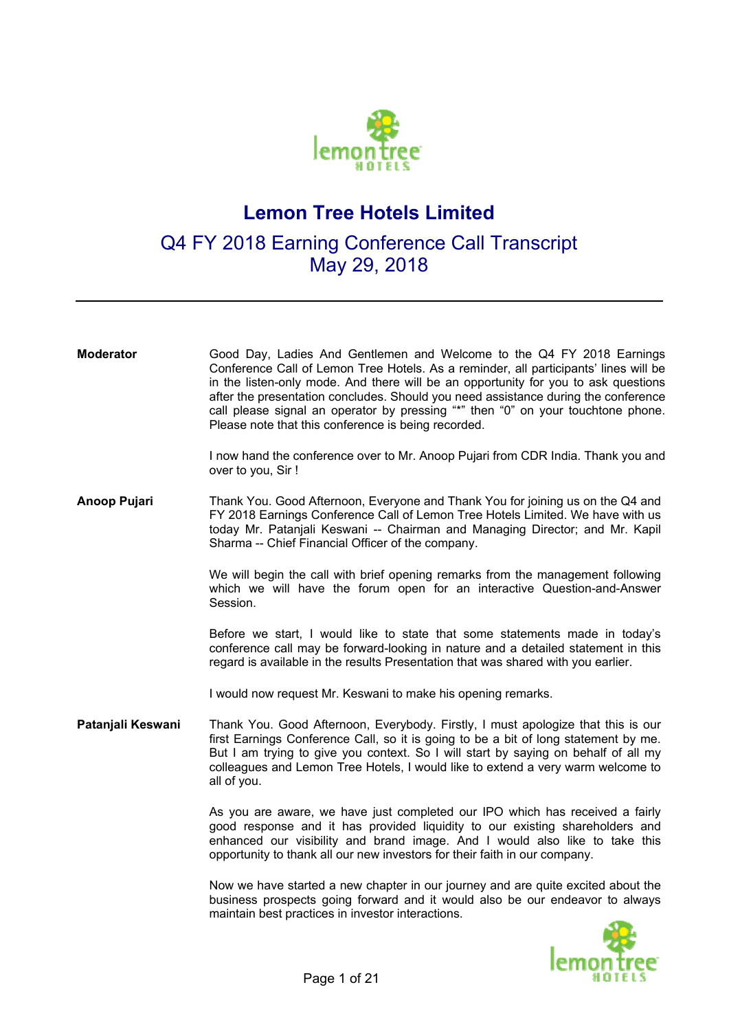

## **Lemon Tree Hotels Limited**

## Q4 FY 2018 Earning Conference Call Transcript May 29, 2018

| <b>Moderator</b>  | Good Day, Ladies And Gentlemen and Welcome to the Q4 FY 2018 Earnings<br>Conference Call of Lemon Tree Hotels. As a reminder, all participants' lines will be<br>in the listen-only mode. And there will be an opportunity for you to ask questions<br>after the presentation concludes. Should you need assistance during the conference<br>call please signal an operator by pressing "*" then "0" on your touchtone phone.<br>Please note that this conference is being recorded. |  |
|-------------------|--------------------------------------------------------------------------------------------------------------------------------------------------------------------------------------------------------------------------------------------------------------------------------------------------------------------------------------------------------------------------------------------------------------------------------------------------------------------------------------|--|
|                   | I now hand the conference over to Mr. Anoop Pujari from CDR India. Thank you and<br>over to you, Sir !                                                                                                                                                                                                                                                                                                                                                                               |  |
| Anoop Pujari      | Thank You. Good Afternoon, Everyone and Thank You for joining us on the Q4 and<br>FY 2018 Earnings Conference Call of Lemon Tree Hotels Limited. We have with us<br>today Mr. Patanjali Keswani -- Chairman and Managing Director; and Mr. Kapil<br>Sharma -- Chief Financial Officer of the company.                                                                                                                                                                                |  |
|                   | We will begin the call with brief opening remarks from the management following<br>which we will have the forum open for an interactive Question-and-Answer<br>Session.                                                                                                                                                                                                                                                                                                              |  |
|                   | Before we start, I would like to state that some statements made in today's<br>conference call may be forward-looking in nature and a detailed statement in this<br>regard is available in the results Presentation that was shared with you earlier.                                                                                                                                                                                                                                |  |
|                   | I would now request Mr. Keswani to make his opening remarks.                                                                                                                                                                                                                                                                                                                                                                                                                         |  |
| Patanjali Keswani | Thank You. Good Afternoon, Everybody. Firstly, I must apologize that this is our<br>first Earnings Conference Call, so it is going to be a bit of long statement by me.<br>But I am trying to give you context. So I will start by saying on behalf of all my<br>colleagues and Lemon Tree Hotels, I would like to extend a very warm welcome to<br>all of you.                                                                                                                      |  |
|                   | As you are aware, we have just completed our IPO which has received a fairly<br>good response and it has provided liquidity to our existing shareholders and<br>enhanced our visibility and brand image. And I would also like to take this<br>opportunity to thank all our new investors for their faith in our company.                                                                                                                                                            |  |
|                   | Now we have started a new chapter in our journey and are quite excited about the<br>business prospects going forward and it would also be our endeavor to always<br>maintain best practices in investor interactions.                                                                                                                                                                                                                                                                |  |
|                   |                                                                                                                                                                                                                                                                                                                                                                                                                                                                                      |  |

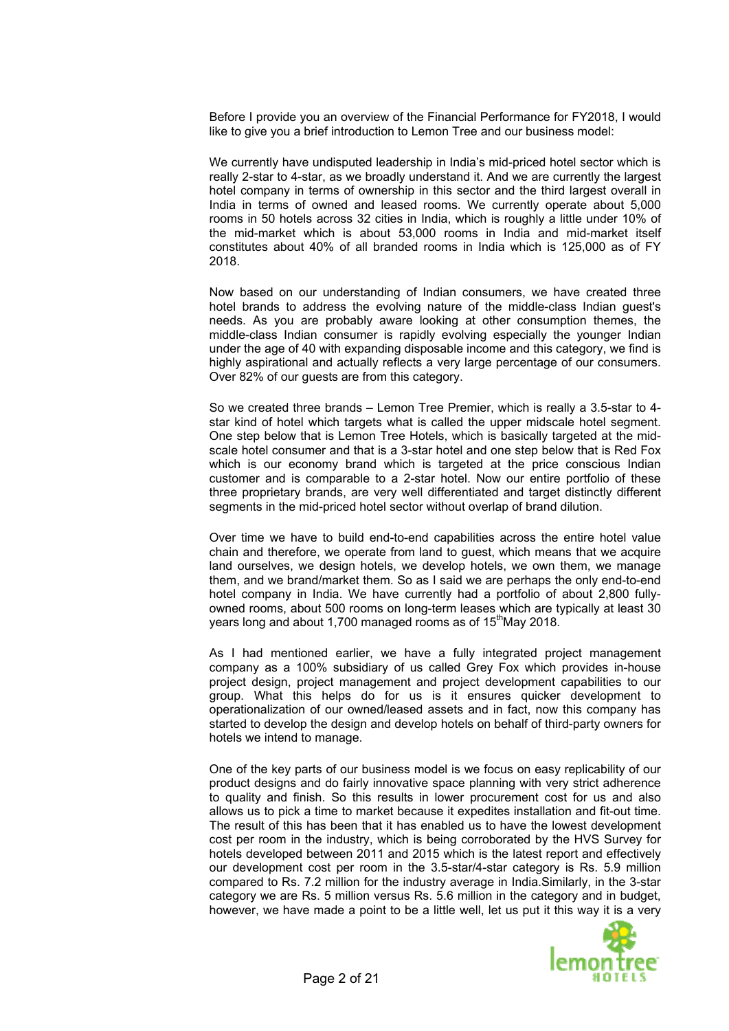Before I provide you an overview of the Financial Performance for FY2018, I would like to give you a brief introduction to Lemon Tree and our business model:

We currently have undisputed leadership in India's mid-priced hotel sector which is really 2-star to 4-star, as we broadly understand it. And we are currently the largest hotel company in terms of ownership in this sector and the third largest overall in India in terms of owned and leased rooms. We currently operate about 5,000 rooms in 50 hotels across 32 cities in India, which is roughly a little under 10% of the mid-market which is about 53,000 rooms in India and mid-market itself constitutes about 40% of all branded rooms in India which is 125,000 as of FY 2018.

Now based on our understanding of Indian consumers, we have created three hotel brands to address the evolving nature of the middle-class Indian guest's needs. As you are probably aware looking at other consumption themes, the middle-class Indian consumer is rapidly evolving especially the younger Indian under the age of 40 with expanding disposable income and this category, we find is highly aspirational and actually reflects a very large percentage of our consumers. Over 82% of our guests are from this category.

So we created three brands – Lemon Tree Premier, which is really a 3.5-star to 4 star kind of hotel which targets what is called the upper midscale hotel segment. One step below that is Lemon Tree Hotels, which is basically targeted at the midscale hotel consumer and that is a 3-star hotel and one step below that is Red Fox which is our economy brand which is targeted at the price conscious Indian customer and is comparable to a 2-star hotel. Now our entire portfolio of these three proprietary brands, are very well differentiated and target distinctly different segments in the mid-priced hotel sector without overlap of brand dilution.

Over time we have to build end-to-end capabilities across the entire hotel value chain and therefore, we operate from land to guest, which means that we acquire land ourselves, we design hotels, we develop hotels, we own them, we manage them, and we brand/market them. So as I said we are perhaps the only end-to-end hotel company in India. We have currently had a portfolio of about 2,800 fullyowned rooms, about 500 rooms on long-term leases which are typically at least 30 years long and about 1,700 managed rooms as of 15<sup>th</sup>May 2018.

As I had mentioned earlier, we have a fully integrated project management company as a 100% subsidiary of us called Grey Fox which provides in-house project design, project management and project development capabilities to our group. What this helps do for us is it ensures quicker development to operationalization of our owned/leased assets and in fact, now this company has started to develop the design and develop hotels on behalf of third-party owners for hotels we intend to manage.

One of the key parts of our business model is we focus on easy replicability of our product designs and do fairly innovative space planning with very strict adherence to quality and finish. So this results in lower procurement cost for us and also allows us to pick a time to market because it expedites installation and fit-out time. The result of this has been that it has enabled us to have the lowest development cost per room in the industry, which is being corroborated by the HVS Survey for hotels developed between 2011 and 2015 which is the latest report and effectively our development cost per room in the 3.5-star/4-star category is Rs. 5.9 million compared to Rs. 7.2 million for the industry average in India.Similarly, in the 3-star category we are Rs. 5 million versus Rs. 5.6 million in the category and in budget, however, we have made a point to be a little well, let us put it this way it is a very

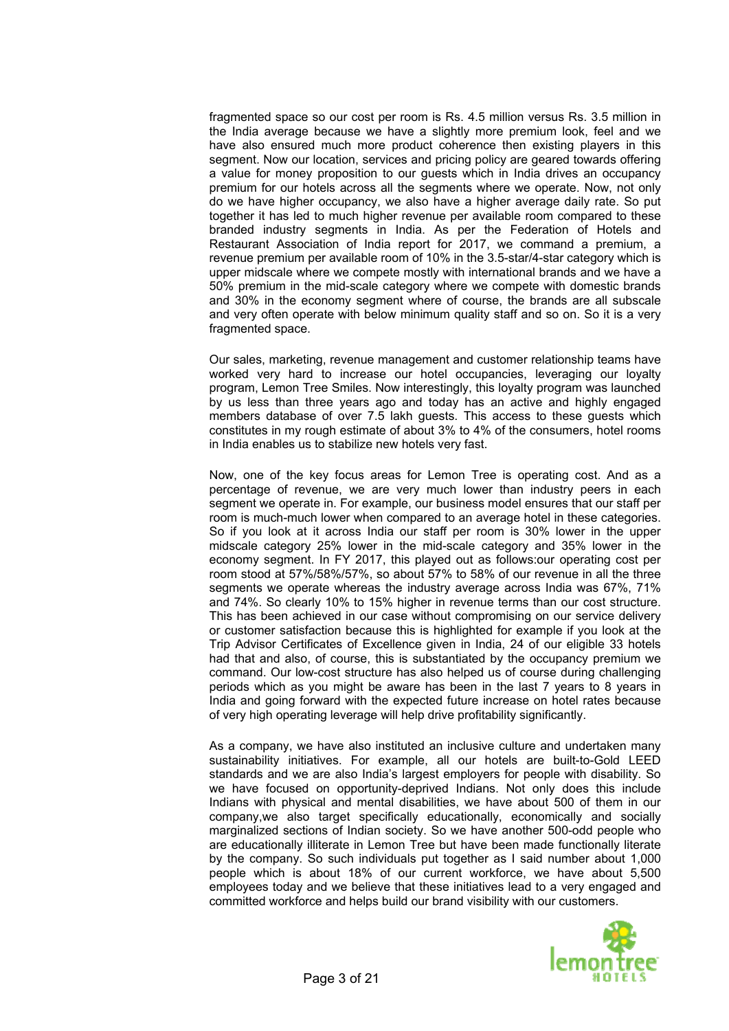fragmented space so our cost per room is Rs. 4.5 million versus Rs. 3.5 million in the India average because we have a slightly more premium look, feel and we have also ensured much more product coherence then existing players in this segment. Now our location, services and pricing policy are geared towards offering a value for money proposition to our guests which in India drives an occupancy premium for our hotels across all the segments where we operate. Now, not only do we have higher occupancy, we also have a higher average daily rate. So put together it has led to much higher revenue per available room compared to these branded industry segments in India. As per the Federation of Hotels and Restaurant Association of India report for 2017, we command a premium, a revenue premium per available room of 10% in the 3.5-star/4-star category which is upper midscale where we compete mostly with international brands and we have a 50% premium in the mid-scale category where we compete with domestic brands and 30% in the economy segment where of course, the brands are all subscale and very often operate with below minimum quality staff and so on. So it is a very fragmented space.

Our sales, marketing, revenue management and customer relationship teams have worked very hard to increase our hotel occupancies, leveraging our loyalty program, Lemon Tree Smiles. Now interestingly, this loyalty program was launched by us less than three years ago and today has an active and highly engaged members database of over 7.5 lakh guests. This access to these guests which constitutes in my rough estimate of about 3% to 4% of the consumers, hotel rooms in India enables us to stabilize new hotels very fast.

Now, one of the key focus areas for Lemon Tree is operating cost. And as a percentage of revenue, we are very much lower than industry peers in each segment we operate in. For example, our business model ensures that our staff per room is much-much lower when compared to an average hotel in these categories. So if you look at it across India our staff per room is 30% lower in the upper midscale category 25% lower in the mid-scale category and 35% lower in the economy segment. In FY 2017, this played out as follows:our operating cost per room stood at 57%/58%/57%, so about 57% to 58% of our revenue in all the three segments we operate whereas the industry average across India was 67%, 71% and 74%. So clearly 10% to 15% higher in revenue terms than our cost structure. This has been achieved in our case without compromising on our service delivery or customer satisfaction because this is highlighted for example if you look at the Trip Advisor Certificates of Excellence given in India, 24 of our eligible 33 hotels had that and also, of course, this is substantiated by the occupancy premium we command. Our low-cost structure has also helped us of course during challenging periods which as you might be aware has been in the last 7 years to 8 years in India and going forward with the expected future increase on hotel rates because of very high operating leverage will help drive profitability significantly.

As a company, we have also instituted an inclusive culture and undertaken many sustainability initiatives. For example, all our hotels are built-to-Gold LEED standards and we are also India's largest employers for people with disability. So we have focused on opportunity-deprived Indians. Not only does this include Indians with physical and mental disabilities, we have about 500 of them in our company,we also target specifically educationally, economically and socially marginalized sections of Indian society. So we have another 500-odd people who are educationally illiterate in Lemon Tree but have been made functionally literate by the company. So such individuals put together as I said number about 1,000 people which is about 18% of our current workforce, we have about 5,500 employees today and we believe that these initiatives lead to a very engaged and committed workforce and helps build our brand visibility with our customers.

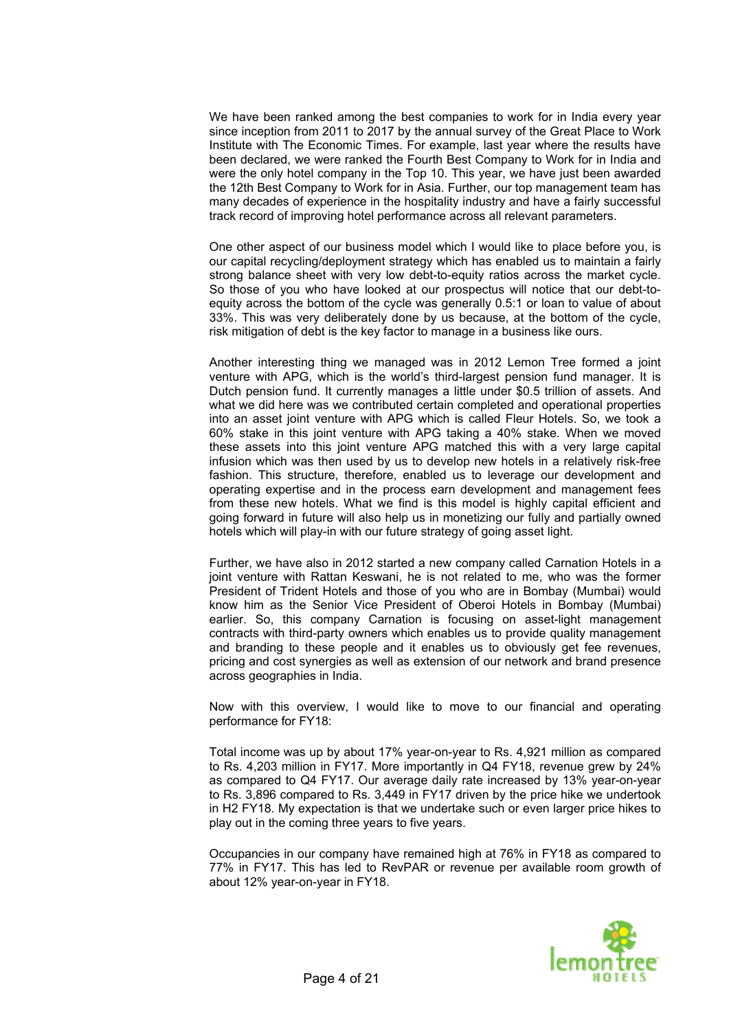We have been ranked among the best companies to work for in India every year since inception from 2011 to 2017 by the annual survey of the Great Place to Work Institute with The Economic Times. For example, last year where the results have been declared, we were ranked the Fourth Best Company to Work for in India and were the only hotel company in the Top 10. This year, we have just been awarded the 12th Best Company to Work for in Asia. Further, our top management team has many decades of experience in the hospitality industry and have a fairly successful track record of improving hotel performance across all relevant parameters.

One other aspect of our business model which I would like to place before you, is our capital recycling/deployment strategy which has enabled us to maintain a fairly strong balance sheet with very low debt-to-equity ratios across the market cycle. So those of you who have looked at our prospectus will notice that our debt-toequity across the bottom of the cycle was generally 0.5:1 or loan to value of about 33%. This was very deliberately done by us because, at the bottom of the cycle, risk mitigation of debt is the key factor to manage in a business like ours.

Another interesting thing we managed was in 2012 Lemon Tree formed a joint venture with APG, which is the world's third-largest pension fund manager. It is Dutch pension fund. It currently manages a little under \$0.5 trillion of assets. And what we did here was we contributed certain completed and operational properties into an asset joint venture with APG which is called Fleur Hotels. So, we took a 60% stake in this joint venture with APG taking a 40% stake. When we moved these assets into this joint venture APG matched this with a very large capital infusion which was then used by us to develop new hotels in a relatively risk-free fashion. This structure, therefore, enabled us to leverage our development and operating expertise and in the process earn development and management fees from these new hotels. What we find is this model is highly capital efficient and going forward in future will also help us in monetizing our fully and partially owned hotels which will play-in with our future strategy of going asset light.

Further, we have also in 2012 started a new company called Carnation Hotels in a joint venture with Rattan Keswani, he is not related to me, who was the former President of Trident Hotels and those of you who are in Bombay (Mumbai) would know him as the Senior Vice President of Oberoi Hotels in Bombay (Mumbai) earlier. So, this company Carnation is focusing on asset-light management contracts with third-party owners which enables us to provide quality management and branding to these people and it enables us to obviously get fee revenues, pricing and cost synergies as well as extension of our network and brand presence across geographies in India.

Now with this overview, I would like to move to our financial and operating performance for FY18:

Total income was up by about 17% year-on-year to Rs. 4,921 million as compared to Rs. 4,203 million in FY17. More importantly in Q4 FY18, revenue grew by 24% as compared to Q4 FY17. Our average daily rate increased by 13% year-on-year to Rs. 3,896 compared to Rs. 3,449 in FY17 driven by the price hike we undertook in H2 FY18. My expectation is that we undertake such or even larger price hikes to play out in the coming three years to five years.

Occupancies in our company have remained high at 76% in FY18 as compared to 77% in FY17. This has led to RevPAR or revenue per available room growth of about 12% year-on-year in FY18.

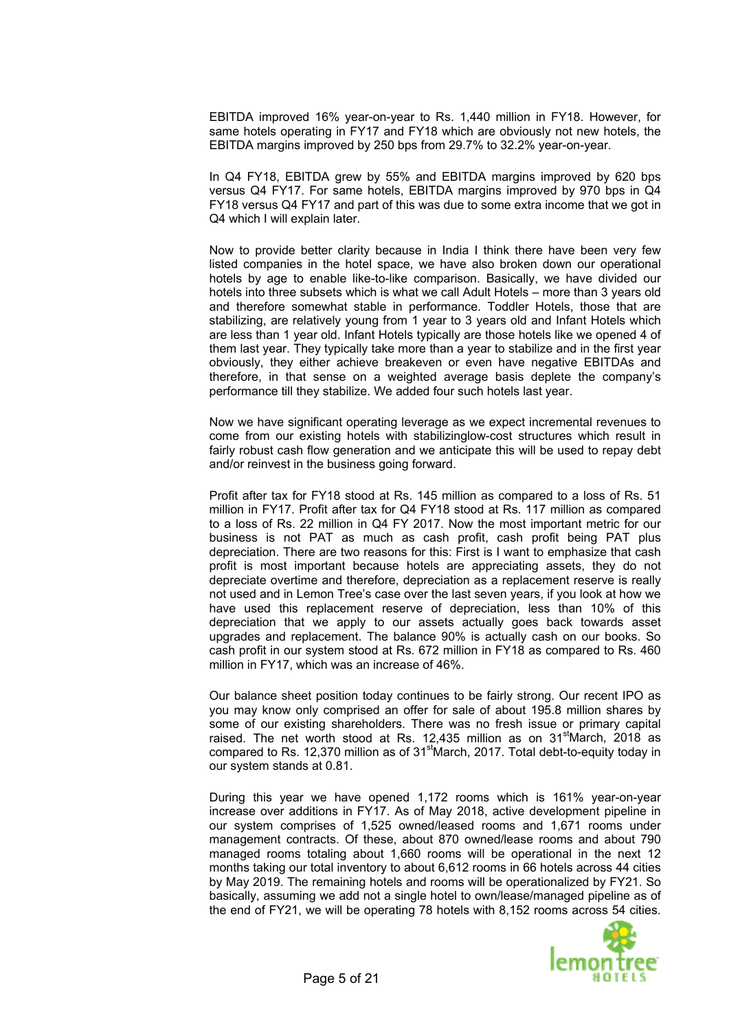EBITDA improved 16% year-on-year to Rs. 1,440 million in FY18. However, for same hotels operating in FY17 and FY18 which are obviously not new hotels, the EBITDA margins improved by 250 bps from 29.7% to 32.2% year-on-year.

In Q4 FY18, EBITDA grew by 55% and EBITDA margins improved by 620 bps versus Q4 FY17. For same hotels, EBITDA margins improved by 970 bps in Q4 FY18 versus Q4 FY17 and part of this was due to some extra income that we got in Q4 which I will explain later.

Now to provide better clarity because in India I think there have been very few listed companies in the hotel space, we have also broken down our operational hotels by age to enable like-to-like comparison. Basically, we have divided our hotels into three subsets which is what we call Adult Hotels – more than 3 years old and therefore somewhat stable in performance. Toddler Hotels, those that are stabilizing, are relatively young from 1 year to 3 years old and Infant Hotels which are less than 1 year old. Infant Hotels typically are those hotels like we opened 4 of them last year. They typically take more than a year to stabilize and in the first year obviously, they either achieve breakeven or even have negative EBITDAs and therefore, in that sense on a weighted average basis deplete the company's performance till they stabilize. We added four such hotels last year.

Now we have significant operating leverage as we expect incremental revenues to come from our existing hotels with stabilizinglow-cost structures which result in fairly robust cash flow generation and we anticipate this will be used to repay debt and/or reinvest in the business going forward.

Profit after tax for FY18 stood at Rs. 145 million as compared to a loss of Rs. 51 million in FY17. Profit after tax for Q4 FY18 stood at Rs. 117 million as compared to a loss of Rs. 22 million in Q4 FY 2017. Now the most important metric for our business is not PAT as much as cash profit, cash profit being PAT plus depreciation. There are two reasons for this: First is I want to emphasize that cash profit is most important because hotels are appreciating assets, they do not depreciate overtime and therefore, depreciation as a replacement reserve is really not used and in Lemon Tree's case over the last seven years, if you look at how we have used this replacement reserve of depreciation, less than 10% of this depreciation that we apply to our assets actually goes back towards asset upgrades and replacement. The balance 90% is actually cash on our books. So cash profit in our system stood at Rs. 672 million in FY18 as compared to Rs. 460 million in FY17, which was an increase of 46%.

Our balance sheet position today continues to be fairly strong. Our recent IPO as you may know only comprised an offer for sale of about 195.8 million shares by some of our existing shareholders. There was no fresh issue or primary capital raised. The net worth stood at Rs. 12,435 million as on  $31<sup>st</sup>$ March, 2018 as compared to Rs. 12,370 million as of 31<sup>st</sup>March, 2017. Total debt-to-equity today in our system stands at 0.81.

During this year we have opened 1,172 rooms which is 161% year-on-year increase over additions in FY17. As of May 2018, active development pipeline in our system comprises of 1,525 owned/leased rooms and 1,671 rooms under management contracts. Of these, about 870 owned/lease rooms and about 790 managed rooms totaling about 1,660 rooms will be operational in the next 12 months taking our total inventory to about 6,612 rooms in 66 hotels across 44 cities by May 2019. The remaining hotels and rooms will be operationalized by FY21. So basically, assuming we add not a single hotel to own/lease/managed pipeline as of the end of FY21, we will be operating 78 hotels with 8,152 rooms across 54 cities.

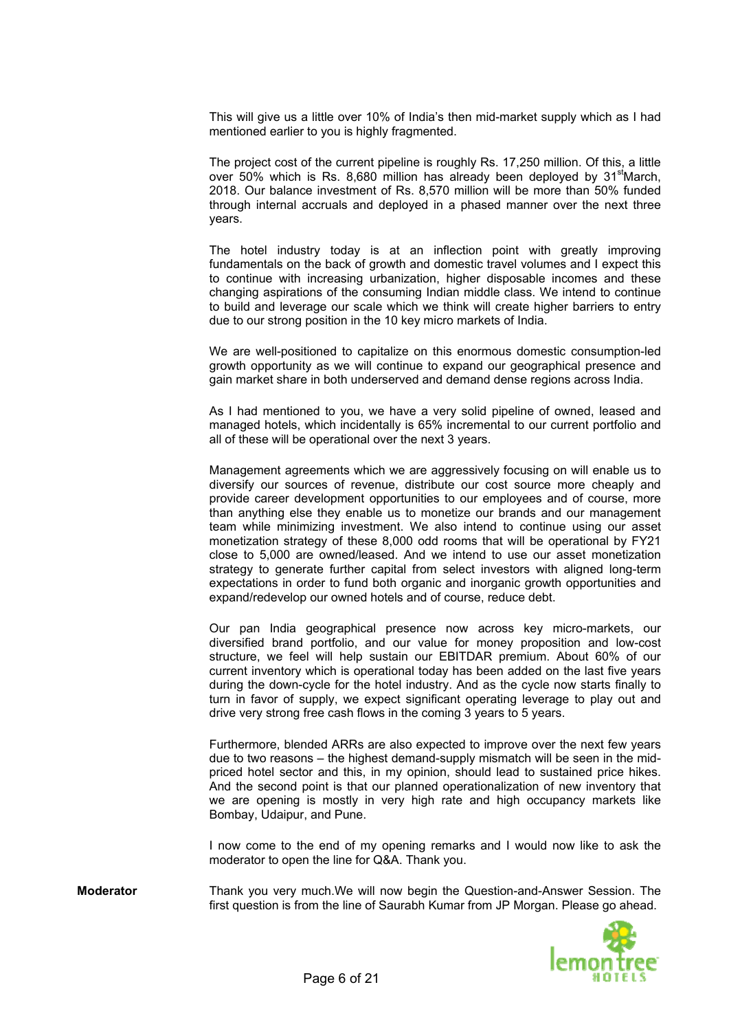This will give us a little over 10% of India's then mid-market supply which as I had mentioned earlier to you is highly fragmented.

The project cost of the current pipeline is roughly Rs. 17,250 million. Of this, a little over 50% which is Rs. 8,680 million has already been deployed by  $31<sup>st</sup>$ March, 2018. Our balance investment of Rs. 8,570 million will be more than 50% funded through internal accruals and deployed in a phased manner over the next three years.

The hotel industry today is at an inflection point with greatly improving fundamentals on the back of growth and domestic travel volumes and I expect this to continue with increasing urbanization, higher disposable incomes and these changing aspirations of the consuming Indian middle class. We intend to continue to build and leverage our scale which we think will create higher barriers to entry due to our strong position in the 10 key micro markets of India.

We are well-positioned to capitalize on this enormous domestic consumption-led growth opportunity as we will continue to expand our geographical presence and gain market share in both underserved and demand dense regions across India.

As I had mentioned to you, we have a very solid pipeline of owned, leased and managed hotels, which incidentally is 65% incremental to our current portfolio and all of these will be operational over the next 3 years.

Management agreements which we are aggressively focusing on will enable us to diversify our sources of revenue, distribute our cost source more cheaply and provide career development opportunities to our employees and of course, more than anything else they enable us to monetize our brands and our management team while minimizing investment. We also intend to continue using our asset monetization strategy of these 8,000 odd rooms that will be operational by FY21 close to 5,000 are owned/leased. And we intend to use our asset monetization strategy to generate further capital from select investors with aligned long-term expectations in order to fund both organic and inorganic growth opportunities and expand/redevelop our owned hotels and of course, reduce debt.

Our pan India geographical presence now across key micro-markets, our diversified brand portfolio, and our value for money proposition and low-cost structure, we feel will help sustain our EBITDAR premium. About 60% of our current inventory which is operational today has been added on the last five years during the down-cycle for the hotel industry. And as the cycle now starts finally to turn in favor of supply, we expect significant operating leverage to play out and drive very strong free cash flows in the coming 3 years to 5 years.

Furthermore, blended ARRs are also expected to improve over the next few years due to two reasons – the highest demand-supply mismatch will be seen in the midpriced hotel sector and this, in my opinion, should lead to sustained price hikes. And the second point is that our planned operationalization of new inventory that we are opening is mostly in very high rate and high occupancy markets like Bombay, Udaipur, and Pune.

I now come to the end of my opening remarks and I would now like to ask the moderator to open the line for Q&A. Thank you.

**Moderator** Thank you very much.We will now begin the Question-and-Answer Session. The first question is from the line of Saurabh Kumar from JP Morgan. Please go ahead.

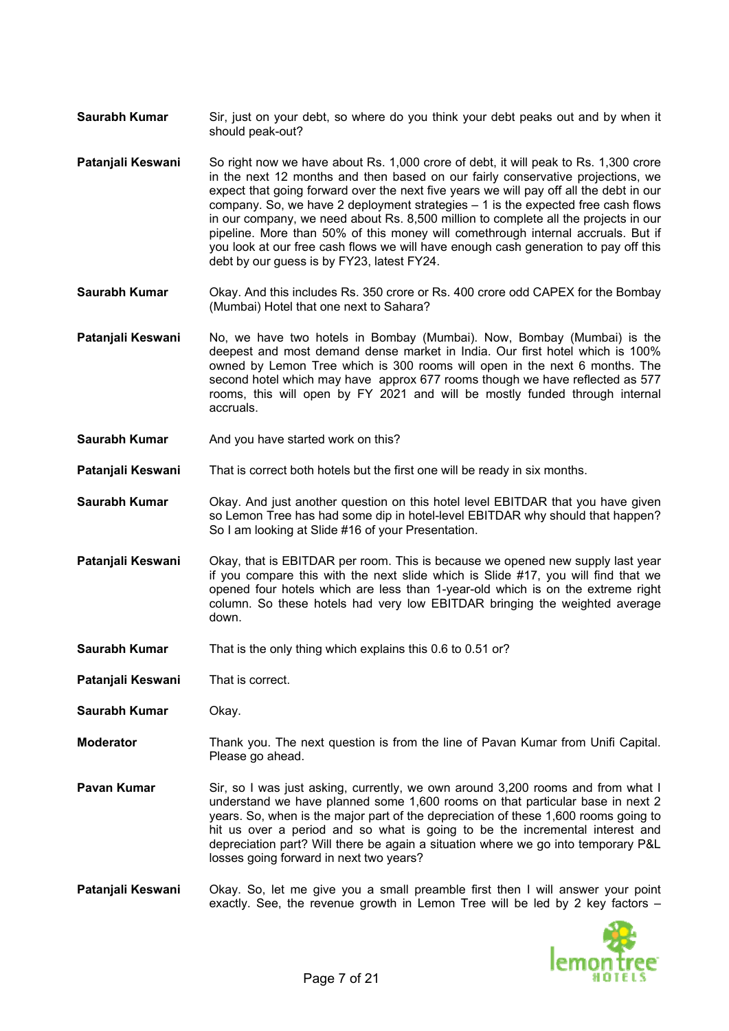- **Saurabh Kumar** Sir, just on your debt, so where do you think your debt peaks out and by when it should peak-out?
- **Patanjali Keswani** So right now we have about Rs. 1,000 crore of debt, it will peak to Rs. 1,300 crore in the next 12 months and then based on our fairly conservative projections, we expect that going forward over the next five years we will pay off all the debt in our company. So, we have 2 deployment strategies – 1 is the expected free cash flows in our company, we need about Rs. 8,500 million to complete all the projects in our pipeline. More than 50% of this money will comethrough internal accruals. But if you look at our free cash flows we will have enough cash generation to pay off this debt by our guess is by FY23, latest FY24.
- **Saurabh Kumar** Okay. And this includes Rs. 350 crore or Rs. 400 crore odd CAPEX for the Bombay (Mumbai) Hotel that one next to Sahara?
- **Patanjali Keswani** No, we have two hotels in Bombay (Mumbai). Now, Bombay (Mumbai) is the deepest and most demand dense market in India. Our first hotel which is 100% owned by Lemon Tree which is 300 rooms will open in the next 6 months. The second hotel which may have approx 677 rooms though we have reflected as 577 rooms, this will open by FY 2021 and will be mostly funded through internal accruals.
- **Saurabh Kumar** And you have started work on this?
- **Patanjali Keswani** That is correct both hotels but the first one will be ready in six months.
- **Saurabh Kumar** Okay. And just another question on this hotel level EBITDAR that you have given so Lemon Tree has had some dip in hotel-level EBITDAR why should that happen? So I am looking at Slide #16 of your Presentation.
- **Patanjali Keswani** Okay, that is EBITDAR per room. This is because we opened new supply last year if you compare this with the next slide which is Slide #17, you will find that we opened four hotels which are less than 1-year-old which is on the extreme right column. So these hotels had very low EBITDAR bringing the weighted average down.
- **Saurabh Kumar** That is the only thing which explains this 0.6 to 0.51 or?
- **Patanjali Keswani** That is correct.
- **Saurabh Kumar** Okay.
- **Moderator** Thank you. The next question is from the line of Pavan Kumar from Unifi Capital. Please go ahead.
- **Pavan Kumar** Sir, so I was just asking, currently, we own around 3,200 rooms and from what I understand we have planned some 1,600 rooms on that particular base in next 2 years. So, when is the major part of the depreciation of these 1,600 rooms going to hit us over a period and so what is going to be the incremental interest and depreciation part? Will there be again a situation where we go into temporary P&L losses going forward in next two years?
- **Patanjali Keswani** Okay. So, let me give you a small preamble first then I will answer your point exactly. See, the revenue growth in Lemon Tree will be led by 2 key factors –

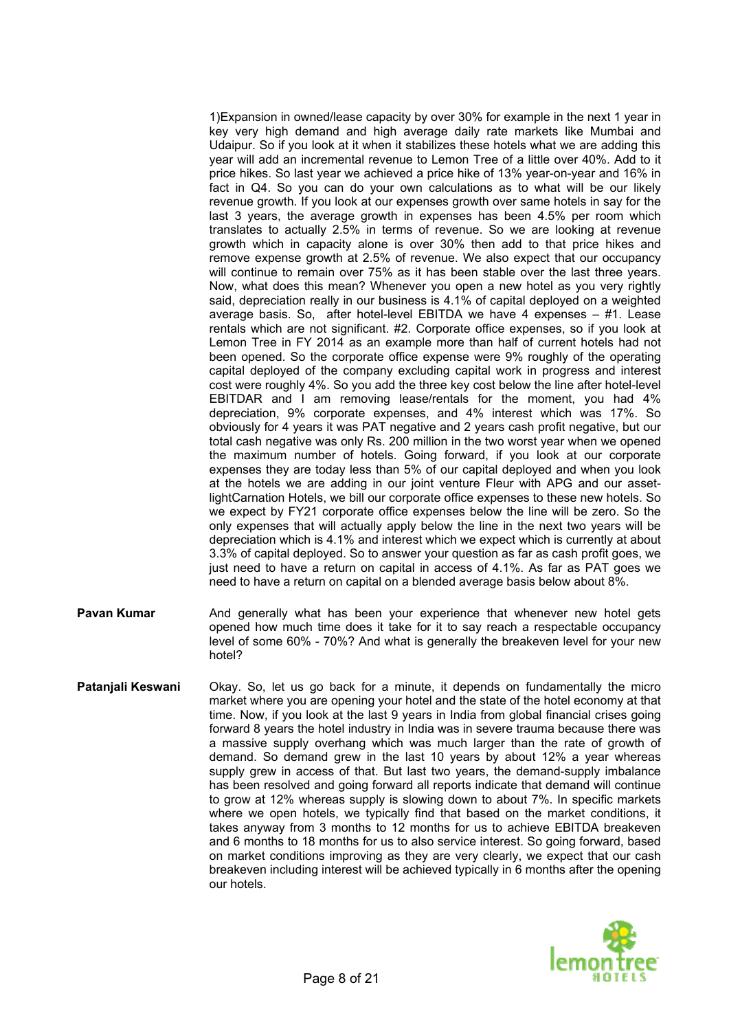1)Expansion in owned/lease capacity by over 30% for example in the next 1 year in key very high demand and high average daily rate markets like Mumbai and Udaipur. So if you look at it when it stabilizes these hotels what we are adding this year will add an incremental revenue to Lemon Tree of a little over 40%. Add to it price hikes. So last year we achieved a price hike of 13% year-on-year and 16% in fact in Q4. So you can do your own calculations as to what will be our likely revenue growth. If you look at our expenses growth over same hotels in say for the last 3 years, the average growth in expenses has been 4.5% per room which translates to actually 2.5% in terms of revenue. So we are looking at revenue growth which in capacity alone is over 30% then add to that price hikes and remove expense growth at 2.5% of revenue. We also expect that our occupancy will continue to remain over 75% as it has been stable over the last three years. Now, what does this mean? Whenever you open a new hotel as you very rightly said, depreciation really in our business is 4.1% of capital deployed on a weighted average basis. So, after hotel-level EBITDA we have 4 expenses – #1. Lease rentals which are not significant. #2. Corporate office expenses, so if you look at Lemon Tree in FY 2014 as an example more than half of current hotels had not been opened. So the corporate office expense were 9% roughly of the operating capital deployed of the company excluding capital work in progress and interest cost were roughly 4%. So you add the three key cost below the line after hotel-level EBITDAR and I am removing lease/rentals for the moment, you had 4% depreciation, 9% corporate expenses, and 4% interest which was 17%. So obviously for 4 years it was PAT negative and 2 years cash profit negative, but our total cash negative was only Rs. 200 million in the two worst year when we opened the maximum number of hotels. Going forward, if you look at our corporate expenses they are today less than 5% of our capital deployed and when you look at the hotels we are adding in our joint venture Fleur with APG and our assetlightCarnation Hotels, we bill our corporate office expenses to these new hotels. So we expect by FY21 corporate office expenses below the line will be zero. So the only expenses that will actually apply below the line in the next two years will be depreciation which is 4.1% and interest which we expect which is currently at about 3.3% of capital deployed. So to answer your question as far as cash profit goes, we just need to have a return on capital in access of 4.1%. As far as PAT goes we need to have a return on capital on a blended average basis below about 8%.

- **Pavan Kumar** And generally what has been your experience that whenever new hotel gets opened how much time does it take for it to say reach a respectable occupancy level of some 60% - 70%? And what is generally the breakeven level for your new hotel?
- **Patanjali Keswani** Okay. So, let us go back for a minute, it depends on fundamentally the micro market where you are opening your hotel and the state of the hotel economy at that time. Now, if you look at the last 9 years in India from global financial crises going forward 8 years the hotel industry in India was in severe trauma because there was a massive supply overhang which was much larger than the rate of growth of demand. So demand grew in the last 10 years by about 12% a year whereas supply grew in access of that. But last two years, the demand-supply imbalance has been resolved and going forward all reports indicate that demand will continue to grow at 12% whereas supply is slowing down to about 7%. In specific markets where we open hotels, we typically find that based on the market conditions, it takes anyway from 3 months to 12 months for us to achieve EBITDA breakeven and 6 months to 18 months for us to also service interest. So going forward, based on market conditions improving as they are very clearly, we expect that our cash breakeven including interest will be achieved typically in 6 months after the opening our hotels.

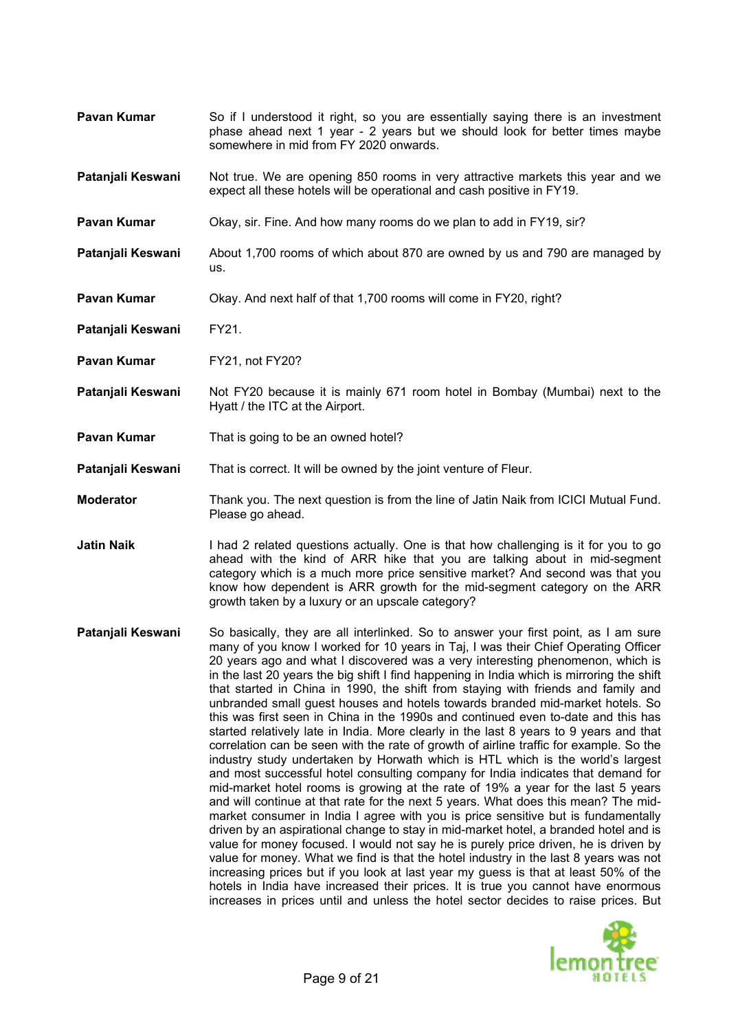- **Pavan Kumar** So if I understood it right, so you are essentially saying there is an investment phase ahead next 1 year - 2 years but we should look for better times maybe somewhere in mid from FY 2020 onwards.
- **Patanjali Keswani** Not true. We are opening 850 rooms in very attractive markets this year and we expect all these hotels will be operational and cash positive in FY19.
- **Pavan Kumar** Okay, sir. Fine. And how many rooms do we plan to add in FY19, sir?
- **Patanjali Keswani** About 1,700 rooms of which about 870 are owned by us and 790 are managed by us.
- **Pavan Kumar Okay.** And next half of that 1,700 rooms will come in FY20, right?
- **Patanjali Keswani** FY21.
- **Pavan Kumar** FY21, not FY20?
- **Patanjali Keswani** Not FY20 because it is mainly 671 room hotel in Bombay (Mumbai) next to the Hyatt / the ITC at the Airport.
- **Pavan Kumar** That is going to be an owned hotel?
- **Patanjali Keswani** That is correct. It will be owned by the joint venture of Fleur.
- **Moderator** Thank you. The next question is from the line of Jatin Naik from ICICI Mutual Fund. Please go ahead.
- **Jatin Naik** I had 2 related questions actually. One is that how challenging is it for you to go ahead with the kind of ARR hike that you are talking about in mid-segment category which is a much more price sensitive market? And second was that you know how dependent is ARR growth for the mid-segment category on the ARR growth taken by a luxury or an upscale category?
- **Patanjali Keswani** So basically, they are all interlinked. So to answer your first point, as I am sure many of you know I worked for 10 years in Taj, I was their Chief Operating Officer 20 years ago and what I discovered was a very interesting phenomenon, which is in the last 20 years the big shift I find happening in India which is mirroring the shift that started in China in 1990, the shift from staying with friends and family and unbranded small guest houses and hotels towards branded mid-market hotels. So this was first seen in China in the 1990s and continued even to-date and this has started relatively late in India. More clearly in the last 8 years to 9 years and that correlation can be seen with the rate of growth of airline traffic for example. So the industry study undertaken by Horwath which is HTL which is the world's largest and most successful hotel consulting company for India indicates that demand for mid-market hotel rooms is growing at the rate of 19% a year for the last 5 years and will continue at that rate for the next 5 years. What does this mean? The midmarket consumer in India I agree with you is price sensitive but is fundamentally driven by an aspirational change to stay in mid-market hotel, a branded hotel and is value for money focused. I would not say he is purely price driven, he is driven by value for money. What we find is that the hotel industry in the last 8 years was not increasing prices but if you look at last year my guess is that at least 50% of the hotels in India have increased their prices. It is true you cannot have enormous increases in prices until and unless the hotel sector decides to raise prices. But

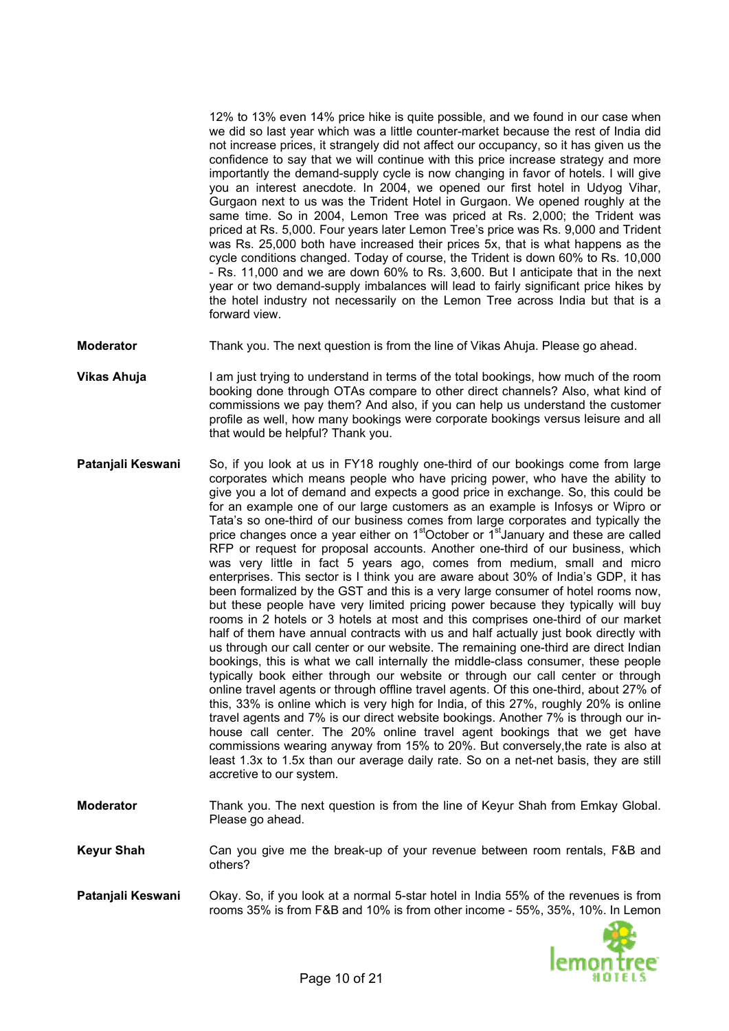12% to 13% even 14% price hike is quite possible, and we found in our case when we did so last year which was a little counter-market because the rest of India did not increase prices, it strangely did not affect our occupancy, so it has given us the confidence to say that we will continue with this price increase strategy and more importantly the demand-supply cycle is now changing in favor of hotels. I will give you an interest anecdote. In 2004, we opened our first hotel in Udyog Vihar, Gurgaon next to us was the Trident Hotel in Gurgaon. We opened roughly at the same time. So in 2004, Lemon Tree was priced at Rs. 2,000; the Trident was priced at Rs. 5,000. Four years later Lemon Tree's price was Rs. 9,000 and Trident was Rs. 25,000 both have increased their prices 5x, that is what happens as the cycle conditions changed. Today of course, the Trident is down 60% to Rs. 10,000 - Rs. 11,000 and we are down 60% to Rs. 3,600. But I anticipate that in the next year or two demand-supply imbalances will lead to fairly significant price hikes by the hotel industry not necessarily on the Lemon Tree across India but that is a forward view.

- **Moderator** Thank you. The next question is from the line of Vikas Ahuja. Please go ahead.
- **Vikas Ahuja** profile as well, how many bookings were corporate bookings versus leisure and all that would be helpful? Thank you. I am just trying to understand in terms of the total bookings, how much of the room booking done through OTAs compare to other direct channels? Also, what kind of commissions we pay them? And also, if you can help us understand the customer
- **Patanjali Keswani** least 1.3x to 1.5x than our average daily rate. So on a net-net basis, they are still accretive to our system. So, if you look at us in FY18 roughly one-third of our bookings come from large corporates which means people who have pricing power, who have the ability to give you a lot of demand and expects a good price in exchange. So, this could be for an example one of our large customers as an example is Infosys or Wipro or Tata's so one-third of our business comes from large corporates and typically the price changes once a year either on  $1<sup>st</sup>October$  or  $1<sup>st</sup>January$  and these are called RFP or request for proposal accounts. Another one-third of our business, which was very little in fact 5 years ago, comes from medium, small and micro enterprises. This sector is I think you are aware about 30% of India's GDP, it has been formalized by the GST and this is a very large consumer of hotel rooms now, but these people have very limited pricing power because they typically will buy rooms in 2 hotels or 3 hotels at most and this comprises one-third of our market half of them have annual contracts with us and half actually just book directly with us through our call center or our website. The remaining one-third are direct Indian bookings, this is what we call internally the middle-class consumer, these people typically book either through our website or through our call center or through online travel agents or through offline travel agents. Of this one-third, about 27% of this, 33% is online which is very high for India, of this 27%, roughly 20% is online travel agents and 7% is our direct website bookings. Another 7% is through our inhouse call center. The 20% online travel agent bookings that we get have commissions wearing anyway from 15% to 20%. But conversely,the rate is also at
- **Moderator** Thank you. The next question is from the line of Keyur Shah from Emkay Global. Please go ahead.
- Keyur Shah **Gan you give me the break-up of your revenue between room rentals, F&B and** others?
- **Patanjali Keswani** Okay. So, if you look at a normal 5-star hotel in India 55% of the revenues is from rooms 35% is from F&B and 10% is from other income - 55%, 35%, 10%. In Lemon

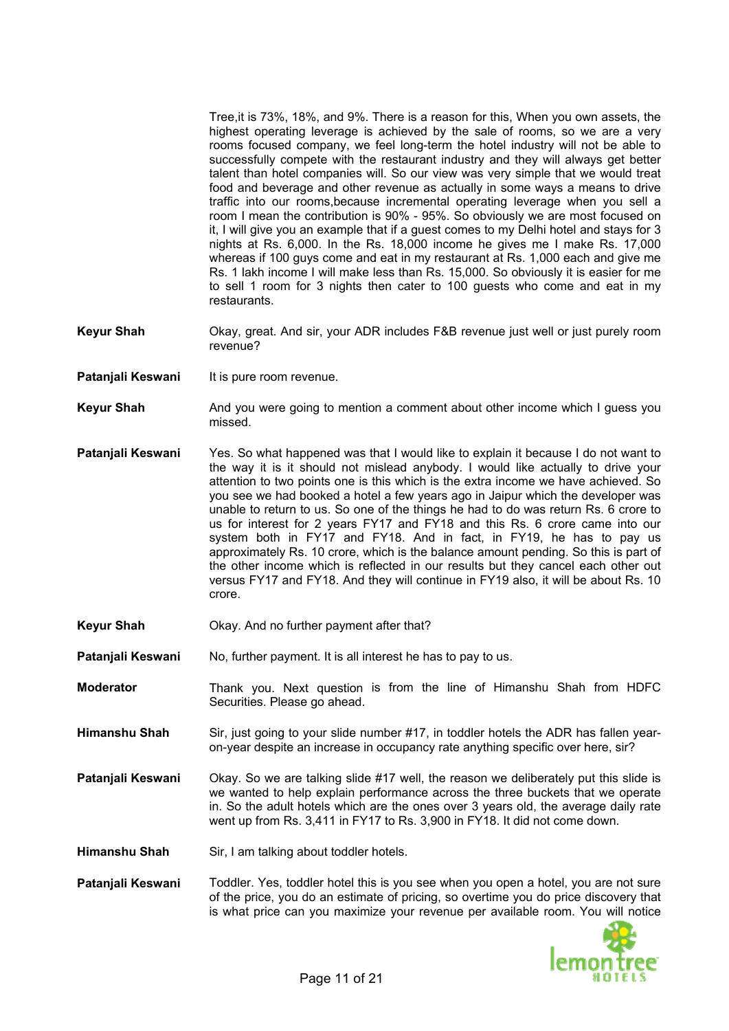Tree,it is 73%, 18%, and 9%. There is a reason for this, When you own assets, the highest operating leverage is achieved by the sale of rooms, so we are a very rooms focused company, we feel long-term the hotel industry will not be able to successfully compete with the restaurant industry and they will always get better talent than hotel companies will. So our view was very simple that we would treat food and beverage and other revenue as actually in some ways a means to drive traffic into our rooms,because incremental operating leverage when you sell a room I mean the contribution is 90% - 95%. So obviously we are most focused on it, I will give you an example that if a guest comes to my Delhi hotel and stays for 3 nights at Rs. 6,000. In the Rs. 18,000 income he gives me I make Rs. 17,000 whereas if 100 guys come and eat in my restaurant at Rs. 1,000 each and give me Rs. 1 lakh income I will make less than Rs. 15,000. So obviously it is easier for me to sell 1 room for 3 nights then cater to 100 guests who come and eat in my restaurants.

- Keyur Shah **b. And St. And sir, your ADR includes F&B** revenue just well or just purely room revenue?
- **Patanjali Keswani** It is pure room revenue.
- **Keyur Shah** And you were going to mention a comment about other income which I guess you missed.
- **Patanjali Keswani** versus FY17 and FY18. And they will continue in FY19 also, it will be about Rs. 10 crore. Yes. So what happened was that I would like to explain it because I do not want to the way it is it should not mislead anybody. I would like actually to drive your attention to two points one is this which is the extra income we have achieved. So you see we had booked a hotel a few years ago in Jaipur which the developer was unable to return to us. So one of the things he had to do was return Rs. 6 crore to us for interest for 2 years FY17 and FY18 and this Rs. 6 crore came into our system both in FY17 and FY18. And in fact, in FY19, he has to pay us approximately Rs. 10 crore, which is the balance amount pending. So this is part of the other income which is reflected in our results but they cancel each other out
- **Keyur Shah** Okay. And no further payment after that?
- **Patanjali Keswani** No, further payment. It is all interest he has to pay to us.
- **Moderator intertal Thank you. Next question is from the line of Himanshu Shah from HDFC** Securities. Please go ahead.
- **Himanshu Shah** Sir, just going to your slide number #17, in toddler hotels the ADR has fallen yearon-year despite an increase in occupancy rate anything specific over here, sir?
- **Patanjali Keswani** in. So the adult hotels which are the ones over 3 years old, the average daily rate went up from Rs. 3,411 in FY17 to Rs. 3,900 in FY18. It did not come down. Okay. So we are talking slide #17 well, the reason we deliberately put this slide is we wanted to help explain performance across the three buckets that we operate
- **Himanshu Shah** Sir, I am talking about toddler hotels.
- **Patanjali Keswani** Toddler. Yes, toddler hotel this is you see when you open a hotel, you are not sure of the price, you do an estimate of pricing, so overtime you do price discovery that is what price can you maximize your revenue per available room. You will notice

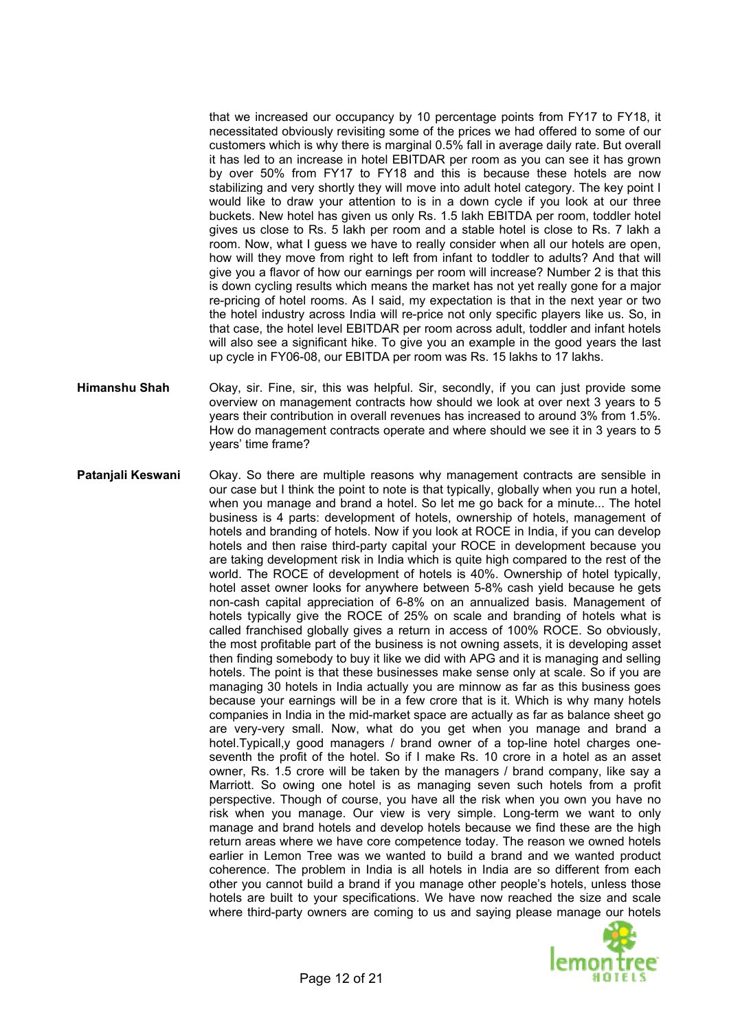that we increased our occupancy by 10 percentage points from FY17 to FY18, it necessitated obviously revisiting some of the prices we had offered to some of our customers which is why there is marginal 0.5% fall in average daily rate. But overall it has led to an increase in hotel EBITDAR per room as you can see it has grown by over 50% from FY17 to FY18 and this is because these hotels are now stabilizing and very shortly they will move into adult hotel category. The key point I would like to draw your attention to is in a down cycle if you look at our three buckets. New hotel has given us only Rs. 1.5 lakh EBITDA per room, toddler hotel gives us close to Rs. 5 lakh per room and a stable hotel is close to Rs. 7 lakh a room. Now, what I guess we have to really consider when all our hotels are open, how will they move from right to left from infant to toddler to adults? And that will give you a flavor of how our earnings per room will increase? Number 2 is that this is down cycling results which means the market has not yet really gone for a major re-pricing of hotel rooms. As I said, my expectation is that in the next year or two the hotel industry across India will re-price not only specific players like us. So, in that case, the hotel level EBITDAR per room across adult, toddler and infant hotels will also see a significant hike. To give you an example in the good years the last up cycle in FY06-08, our EBITDA per room was Rs. 15 lakhs to 17 lakhs.

- **Himanshu Shah** How do management contracts operate and where should we see it in 3 years to 5 years' time frame? Okay, sir. Fine, sir, this was helpful. Sir, secondly, if you can just provide some overview on management contracts how should we look at over next 3 years to 5 years their contribution in overall revenues has increased to around 3% from 1.5%.
- **Patanjali Keswani** Okay. So there are multiple reasons why management contracts are sensible in our case but I think the point to note is that typically, globally when you run a hotel, when you manage and brand a hotel. So let me go back for a minute... The hotel business is 4 parts: development of hotels, ownership of hotels, management of hotels and branding of hotels. Now if you look at ROCE in India, if you can develop hotels and then raise third-party capital your ROCE in development because you are taking development risk in India which is quite high compared to the rest of the world. The ROCE of development of hotels is 40%. Ownership of hotel typically, hotel asset owner looks for anywhere between 5-8% cash yield because he gets non-cash capital appreciation of 6-8% on an annualized basis. Management of hotels typically give the ROCE of 25% on scale and branding of hotels what is called franchised globally gives a return in access of 100% ROCE. So obviously, the most profitable part of the business is not owning assets, it is developing asset then finding somebody to buy it like we did with APG and it is managing and selling hotels. The point is that these businesses make sense only at scale. So if you are managing 30 hotels in India actually you are minnow as far as this business goes because your earnings will be in a few crore that is it. Which is why many hotels companies in India in the mid-market space are actually as far as balance sheet go are very-very small. Now, what do you get when you manage and brand a hotel.Typicall,y good managers / brand owner of a top-line hotel charges oneseventh the profit of the hotel. So if I make Rs. 10 crore in a hotel as an asset owner, Rs. 1.5 crore will be taken by the managers / brand company, like say a Marriott. So owing one hotel is as managing seven such hotels from a profit perspective. Though of course, you have all the risk when you own you have no risk when you manage. Our view is very simple. Long-term we want to only manage and brand hotels and develop hotels because we find these are the high return areas where we have core competence today. The reason we owned hotels earlier in Lemon Tree was we wanted to build a brand and we wanted product coherence. The problem in India is all hotels in India are so different from each other you cannot build a brand if you manage other people's hotels, unless those hotels are built to your specifications. We have now reached the size and scale where third-party owners are coming to us and saying please manage our hotels

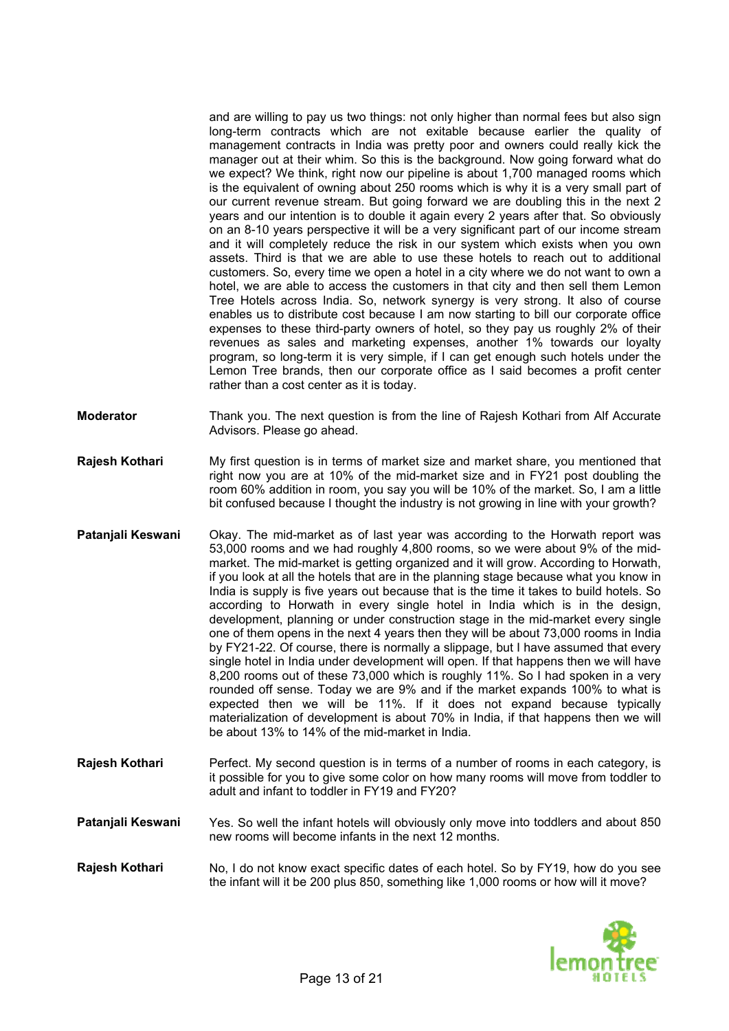and are willing to pay us two things: not only higher than normal fees but also sign long-term contracts which are not exitable because earlier the quality of management contracts in India was pretty poor and owners could really kick the manager out at their whim. So this is the background. Now going forward what do we expect? We think, right now our pipeline is about 1,700 managed rooms which is the equivalent of owning about 250 rooms which is why it is a very small part of our current revenue stream. But going forward we are doubling this in the next 2 years and our intention is to double it again every 2 years after that. So obviously on an 8-10 years perspective it will be a very significant part of our income stream and it will completely reduce the risk in our system which exists when you own assets. Third is that we are able to use these hotels to reach out to additional customers. So, every time we open a hotel in a city where we do not want to own a hotel, we are able to access the customers in that city and then sell them Lemon Tree Hotels across India. So, network synergy is very strong. It also of course enables us to distribute cost because I am now starting to bill our corporate office expenses to these third-party owners of hotel, so they pay us roughly 2% of their revenues as sales and marketing expenses, another 1% towards our loyalty program, so long-term it is very simple, if I can get enough such hotels under the Lemon Tree brands, then our corporate office as I said becomes a profit center rather than a cost center as it is today.

- **Moderator numble 1** Thank you. The next question is from the line of Rajesh Kothari from Alf Accurate Advisors. Please go ahead.
- **Rajesh Kothari** bit confused because I thought the industry is not growing in line with your growth? My first question is in terms of market size and market share, you mentioned that right now you are at 10% of the mid-market size and in FY21 post doubling the room 60% addition in room, you say you will be 10% of the market. So, I am a little
- **Patanjali Keswani** rounded off sense. Today we are 9% and if the market expands 100% to what is materialization of development is about 70% in India, if that happens then we will be about 13% to 14% of the mid-market in India. Okay. The mid-market as of last year was according to the Horwath report was 53,000 rooms and we had roughly 4,800 rooms, so we were about 9% of the midmarket. The mid-market is getting organized and it will grow. According to Horwath, if you look at all the hotels that are in the planning stage because what you know in India is supply is five years out because that is the time it takes to build hotels. So according to Horwath in every single hotel in India which is in the design, development, planning or under construction stage in the mid-market every single one of them opens in the next 4 years then they will be about 73,000 rooms in India by FY21-22. Of course, there is normally a slippage, but I have assumed that every single hotel in India under development will open. If that happens then we will have 8,200 rooms out of these 73,000 which is roughly 11%. So I had spoken in a very expected then we will be 11%. If it does not expand because typically
- **Rajesh Kothari** it possible for you to give some color on how many rooms will move from toddler to adult and infant to toddler in FY19 and FY20? Perfect. My second question is in terms of a number of rooms in each category, is
- **Patanjali Keswani** Yes. So well the infant hotels will obviously only move into toddlers and about 850 new rooms will become infants in the next 12 months.
- **Rajesh Kothari** the infant will it be 200 plus 850, something like 1,000 rooms or how will it move? No, I do not know exact specific dates of each hotel. So by FY19, how do you see

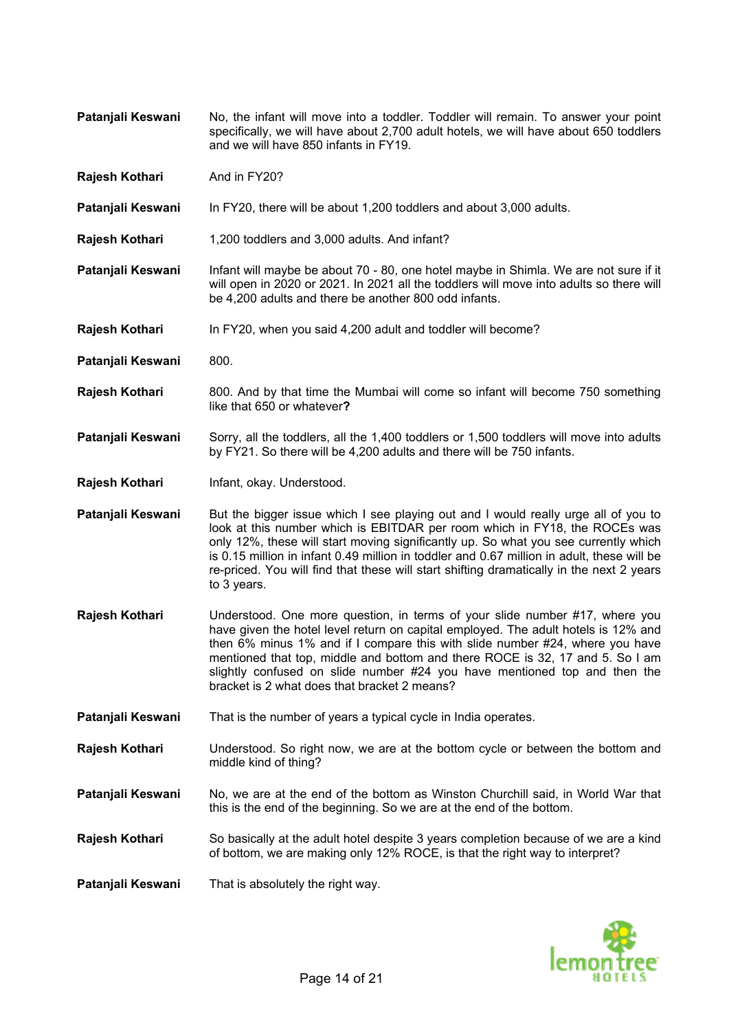- **Patanjali Keswani** No, the infant will move into a toddler. Toddler will remain. To answer your point specifically, we will have about 2,700 adult hotels, we will have about 650 toddlers and we will have 850 infants in FY19.
- **Rajesh Kothari** And in FY20?
- **Patanjali Keswani** In FY20, there will be about 1,200 toddlers and about 3,000 adults.
- **Rajesh Kothari** 1,200 toddlers and 3,000 adults. And infant?
- **Patanjali Keswani** Infant will maybe be about 70 80, one hotel maybe in Shimla. We are not sure if it will open in 2020 or 2021. In 2021 all the toddlers will move into adults so there will be 4,200 adults and there be another 800 odd infants.
- **Rajesh Kothari** In FY20, when you said 4,200 adult and toddler will become?
- Patanjali Keswani 800.
- **Rajesh Kothari** 800. And by that time the Mumbai will come so infant will become 750 something like that 650 or whatever**?**
- **Patanjali Keswani** Sorry, all the toddlers, all the 1,400 toddlers or 1,500 toddlers will move into adults by FY21. So there will be 4,200 adults and there will be 750 infants.
- **Rajesh Kothari** Infant, okay. Understood.
- **Patanjali Keswani** But the bigger issue which I see playing out and I would really urge all of you to look at this number which is EBITDAR per room which in FY18, the ROCEs was only 12%, these will start moving significantly up. So what you see currently which is 0.15 million in infant 0.49 million in toddler and 0.67 million in adult, these will be re-priced. You will find that these will start shifting dramatically in the next 2 years to 3 years.
- **Rajesh Kothari** Understood. One more question, in terms of your slide number #17, where you have given the hotel level return on capital employed. The adult hotels is 12% and then 6% minus 1% and if I compare this with slide number #24, where you have mentioned that top, middle and bottom and there ROCE is 32, 17 and 5. So I am slightly confused on slide number #24 you have mentioned top and then the bracket is 2 what does that bracket 2 means?
- **Patanjali Keswani** That is the number of years a typical cycle in India operates.
- **Rajesh Kothari** Understood. So right now, we are at the bottom cycle or between the bottom and middle kind of thing?
- **Pataniali Keswani** No, we are at the end of the bottom as Winston Churchill said, in World War that this is the end of the beginning. So we are at the end of the bottom.
- **Rajesh Kothari** So basically at the adult hotel despite 3 years completion because of we are a kind of bottom, we are making only 12% ROCE, is that the right way to interpret?
- **Patanjali Keswani** That is absolutely the right way.

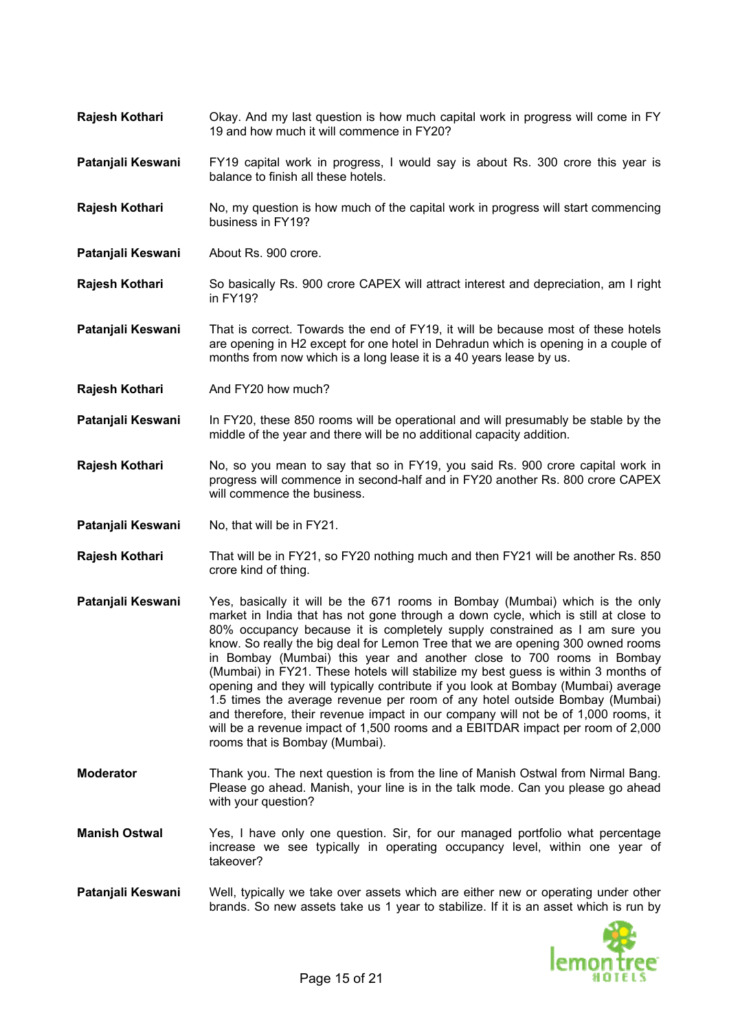- **Rajesh Kothari** Okay. And my last question is how much capital work in progress will come in FY 19 and how much it will commence in FY20?
- **Patanjali Keswani** FY19 capital work in progress, I would say is about Rs. 300 crore this year is balance to finish all these hotels.
- **Rajesh Kothari** No, my question is how much of the capital work in progress will start commencing business in FY19?
- **Patanjali Keswani** About Rs. 900 crore.
- **Rajesh Kothari** So basically Rs. 900 crore CAPEX will attract interest and depreciation, am I right in FY19?
- **Pataniali Keswani** That is correct. Towards the end of FY19, it will be because most of these hotels are opening in H2 except for one hotel in Dehradun which is opening in a couple of months from now which is a long lease it is a 40 years lease by us.
- **Rajesh Kothari** And FY20 how much?
- Patanjali Keswani In FY20, these 850 rooms will be operational and will presumably be stable by the middle of the year and there will be no additional capacity addition.
- **Rajesh Kothari** No, so you mean to say that so in FY19, you said Rs. 900 crore capital work in progress will commence in second-half and in FY20 another Rs. 800 crore CAPEX will commence the business.
- **Patanjali Keswani** No, that will be in FY21.
- **Rajesh Kothari** That will be in FY21, so FY20 nothing much and then FY21 will be another Rs. 850 crore kind of thing.
- **Patanjali Keswani** Yes, basically it will be the 671 rooms in Bombay (Mumbai) which is the only market in India that has not gone through a down cycle, which is still at close to 80% occupancy because it is completely supply constrained as I am sure you know. So really the big deal for Lemon Tree that we are opening 300 owned rooms in Bombay (Mumbai) this year and another close to 700 rooms in Bombay (Mumbai) in FY21. These hotels will stabilize my best guess is within 3 months of opening and they will typically contribute if you look at Bombay (Mumbai) average 1.5 times the average revenue per room of any hotel outside Bombay (Mumbai) and therefore, their revenue impact in our company will not be of 1,000 rooms, it will be a revenue impact of 1,500 rooms and a EBITDAR impact per room of 2,000 rooms that is Bombay (Mumbai).
- **Moderator** Thank you. The next question is from the line of Manish Ostwal from Nirmal Bang. Please go ahead. Manish, your line is in the talk mode. Can you please go ahead with your question?
- **Manish Ostwal** Yes, I have only one question. Sir, for our managed portfolio what percentage increase we see typically in operating occupancy level, within one year of takeover?
- **Patanjali Keswani** Well, typically we take over assets which are either new or operating under other brands. So new assets take us 1 year to stabilize. If it is an asset which is run by

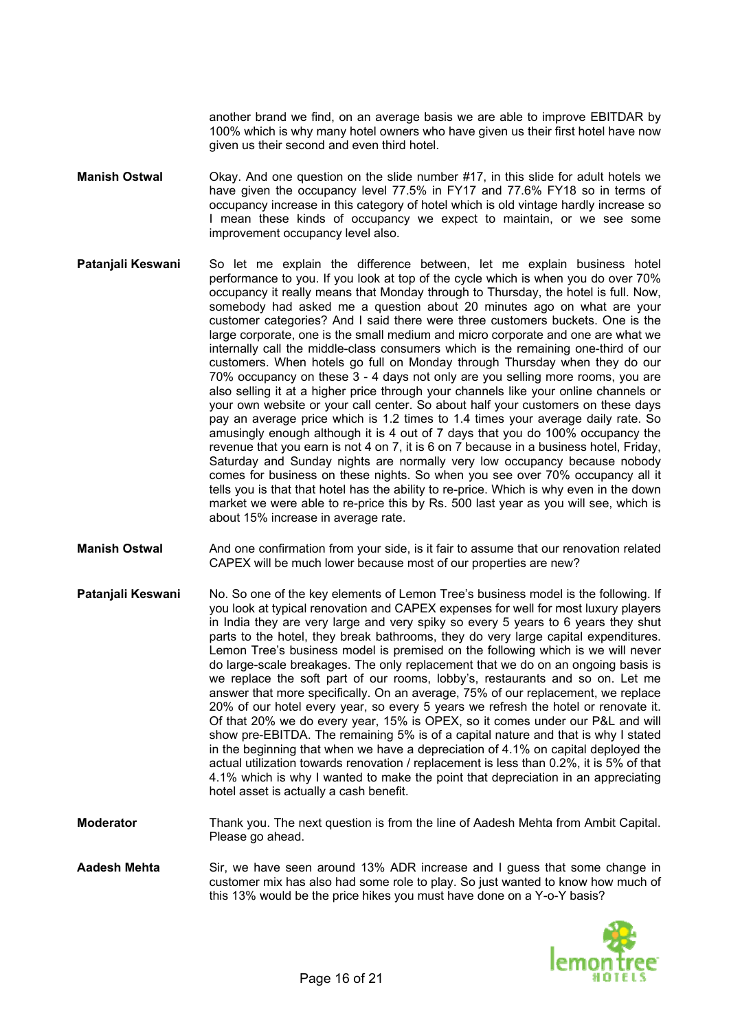another brand we find, on an average basis we are able to improve EBITDAR by 100% which is why many hotel owners who have given us their first hotel have now given us their second and even third hotel.

- **Manish Ostwal** Okay. And one question on the slide number #17, in this slide for adult hotels we have given the occupancy level 77.5% in FY17 and 77.6% FY18 so in terms of occupancy increase in this category of hotel which is old vintage hardly increase so I mean these kinds of occupancy we expect to maintain, or we see some improvement occupancy level also.
- **Patanjali Keswani** So let me explain the difference between, let me explain business hotel performance to you. If you look at top of the cycle which is when you do over 70% occupancy it really means that Monday through to Thursday, the hotel is full. Now, somebody had asked me a question about 20 minutes ago on what are your customer categories? And I said there were three customers buckets. One is the large corporate, one is the small medium and micro corporate and one are what we internally call the middle-class consumers which is the remaining one-third of our customers. When hotels go full on Monday through Thursday when they do our 70% occupancy on these 3 - 4 days not only are you selling more rooms, you are also selling it at a higher price through your channels like your online channels or your own website or your call center. So about half your customers on these days pay an average price which is 1.2 times to 1.4 times your average daily rate. So amusingly enough although it is 4 out of 7 days that you do 100% occupancy the revenue that you earn is not 4 on 7, it is 6 on 7 because in a business hotel, Friday, Saturday and Sunday nights are normally very low occupancy because nobody comes for business on these nights. So when you see over 70% occupancy all it tells you is that that hotel has the ability to re-price. Which is why even in the down market we were able to re-price this by Rs. 500 last year as you will see, which is about 15% increase in average rate.
- **Manish Ostwal** And one confirmation from your side, is it fair to assume that our renovation related CAPEX will be much lower because most of our properties are new?
- **Patanjali Keswani** No. So one of the key elements of Lemon Tree's business model is the following. If you look at typical renovation and CAPEX expenses for well for most luxury players in India they are very large and very spiky so every 5 years to 6 years they shut parts to the hotel, they break bathrooms, they do very large capital expenditures. Lemon Tree's business model is premised on the following which is we will never do large-scale breakages. The only replacement that we do on an ongoing basis is we replace the soft part of our rooms, lobby's, restaurants and so on. Let me answer that more specifically. On an average, 75% of our replacement, we replace 20% of our hotel every year, so every 5 years we refresh the hotel or renovate it. Of that 20% we do every year, 15% is OPEX, so it comes under our P&L and will show pre-EBITDA. The remaining 5% is of a capital nature and that is why I stated in the beginning that when we have a depreciation of 4.1% on capital deployed the actual utilization towards renovation / replacement is less than 0.2%, it is 5% of that 4.1% which is why I wanted to make the point that depreciation in an appreciating hotel asset is actually a cash benefit.
- **Moderator** Thank you. The next question is from the line of Aadesh Mehta from Ambit Capital. Please go ahead.
- **Aadesh Mehta** Sir, we have seen around 13% ADR increase and I guess that some change in customer mix has also had some role to play. So just wanted to know how much of this 13% would be the price hikes you must have done on a Y-o-Y basis?

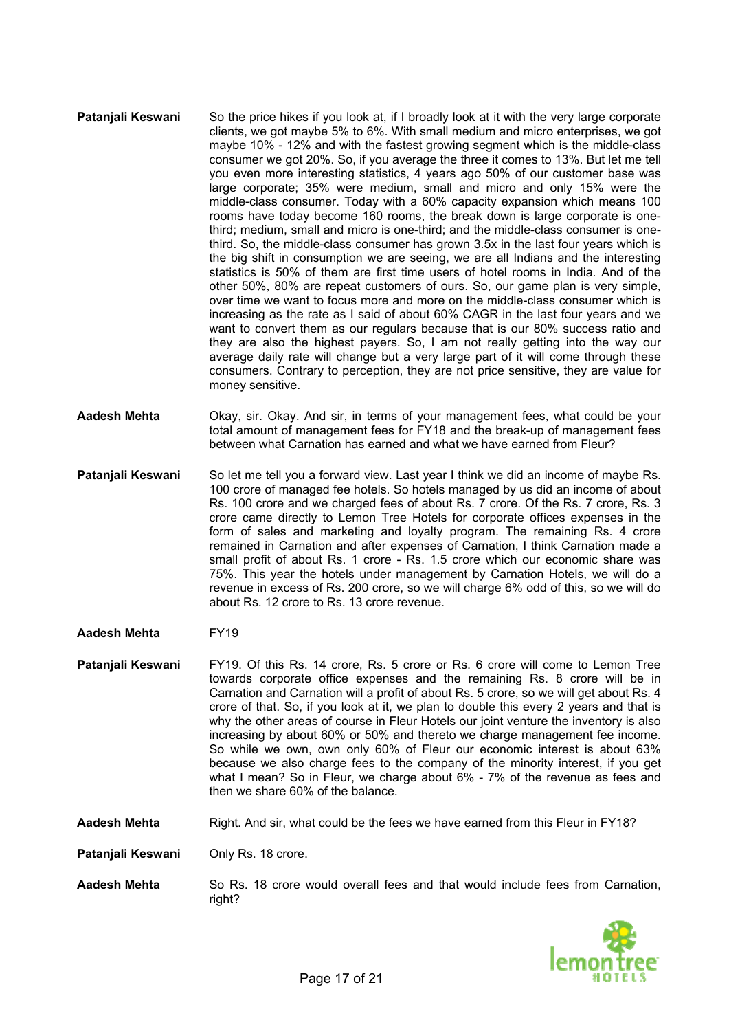- **Patanjali Keswani** So the price hikes if you look at, if I broadly look at it with the very large corporate clients, we got maybe 5% to 6%. With small medium and micro enterprises, we got maybe 10% - 12% and with the fastest growing segment which is the middle-class consumer we got 20%. So, if you average the three it comes to 13%. But let me tell you even more interesting statistics, 4 years ago 50% of our customer base was large corporate; 35% were medium, small and micro and only 15% were the middle-class consumer. Today with a 60% capacity expansion which means 100 rooms have today become 160 rooms, the break down is large corporate is onethird; medium, small and micro is one-third; and the middle-class consumer is onethird. So, the middle-class consumer has grown 3.5x in the last four years which is the big shift in consumption we are seeing, we are all Indians and the interesting statistics is 50% of them are first time users of hotel rooms in India. And of the other 50%, 80% are repeat customers of ours. So, our game plan is very simple, over time we want to focus more and more on the middle-class consumer which is increasing as the rate as I said of about 60% CAGR in the last four years and we want to convert them as our regulars because that is our 80% success ratio and they are also the highest payers. So, I am not really getting into the way our average daily rate will change but a very large part of it will come through these consumers. Contrary to perception, they are not price sensitive, they are value for money sensitive.
- **Aadesh Mehta** Okay, sir. Okay. And sir, in terms of your management fees, what could be your total amount of management fees for FY18 and the break-up of management fees between what Carnation has earned and what we have earned from Fleur?
- **Patanjali Keswani** So let me tell you a forward view. Last year I think we did an income of maybe Rs. 100 crore of managed fee hotels. So hotels managed by us did an income of about Rs. 100 crore and we charged fees of about Rs. 7 crore. Of the Rs. 7 crore, Rs. 3 crore came directly to Lemon Tree Hotels for corporate offices expenses in the form of sales and marketing and loyalty program. The remaining Rs. 4 crore remained in Carnation and after expenses of Carnation, I think Carnation made a small profit of about Rs. 1 crore - Rs. 1.5 crore which our economic share was 75%. This year the hotels under management by Carnation Hotels, we will do a revenue in excess of Rs. 200 crore, so we will charge 6% odd of this, so we will do about Rs. 12 crore to Rs. 13 crore revenue.
- **Aadesh Mehta** FY19
- **Patanjali Keswani** FY19. Of this Rs. 14 crore, Rs. 5 crore or Rs. 6 crore will come to Lemon Tree towards corporate office expenses and the remaining Rs. 8 crore will be in Carnation and Carnation will a profit of about Rs. 5 crore, so we will get about Rs. 4 crore of that. So, if you look at it, we plan to double this every 2 years and that is why the other areas of course in Fleur Hotels our joint venture the inventory is also increasing by about 60% or 50% and thereto we charge management fee income. So while we own, own only 60% of Fleur our economic interest is about 63% because we also charge fees to the company of the minority interest, if you get what I mean? So in Fleur, we charge about 6% - 7% of the revenue as fees and then we share 60% of the balance.
- **Aadesh Mehta** Right. And sir, what could be the fees we have earned from this Fleur in FY18?

**Patanjali Keswani** Only Rs. 18 crore.

**Aadesh Mehta** So Rs. 18 crore would overall fees and that would include fees from Carnation, right?

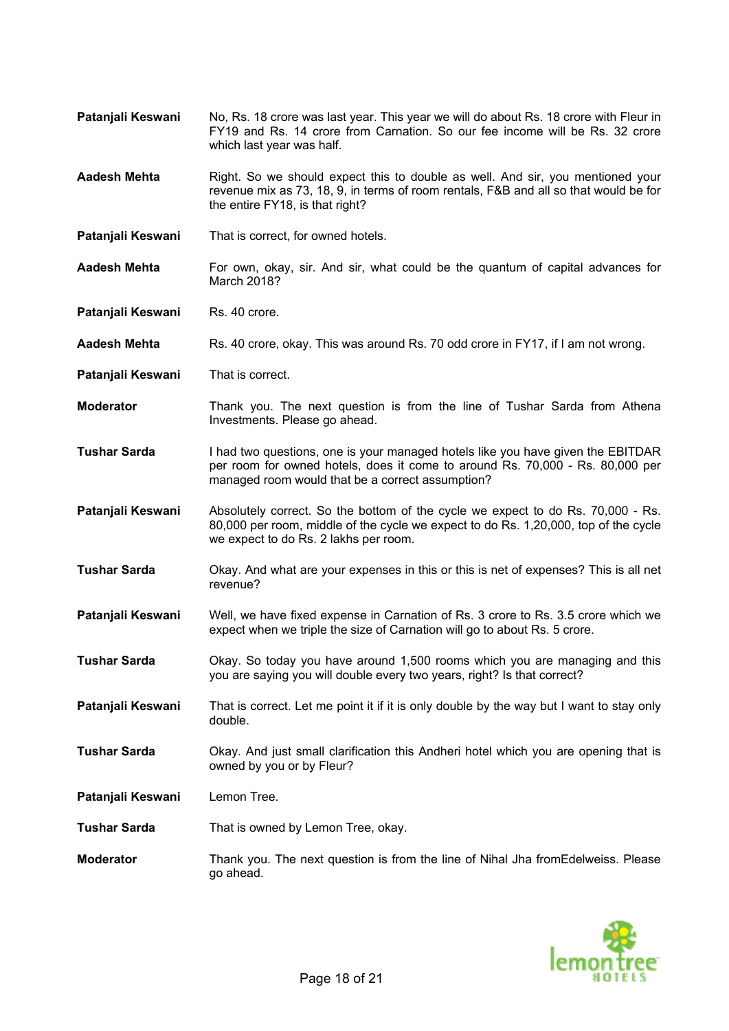- **Patanjali Keswani** No, Rs. 18 crore was last year. This year we will do about Rs. 18 crore with Fleur in FY19 and Rs. 14 crore from Carnation. So our fee income will be Rs. 32 crore which last year was half.
- **Aadesh Mehta** Right. So we should expect this to double as well. And sir, you mentioned your revenue mix as 73, 18, 9, in terms of room rentals, F&B and all so that would be for the entire FY18, is that right?
- **Patanjali Keswani** That is correct, for owned hotels.
- **Aadesh Mehta** For own, okay, sir. And sir, what could be the quantum of capital advances for March 2018?
- **Patanjali Keswani** Rs. 40 crore.
- **Aadesh Mehta** Rs. 40 crore, okay. This was around Rs. 70 odd crore in FY17, if I am not wrong.
- **Patanjali Keswani** That is correct.
- **Moderator** Thank you. The next question is from the line of Tushar Sarda from Athena Investments. Please go ahead.
- **Tushar Sarda** I had two questions, one is your managed hotels like you have given the EBITDAR per room for owned hotels, does it come to around Rs. 70,000 - Rs. 80,000 per managed room would that be a correct assumption?
- **Patanjali Keswani** Absolutely correct. So the bottom of the cycle we expect to do Rs. 70,000 Rs. 80,000 per room, middle of the cycle we expect to do Rs. 1,20,000, top of the cycle we expect to do Rs. 2 lakhs per room.
- **Tushar Sarda** Okay. And what are your expenses in this or this is net of expenses? This is all net revenue?
- **Patanjali Keswani** Well, we have fixed expense in Carnation of Rs. 3 crore to Rs. 3.5 crore which we expect when we triple the size of Carnation will go to about Rs. 5 crore.
- **Tushar Sarda** Okay. So today you have around 1,500 rooms which you are managing and this you are saying you will double every two years, right? Is that correct?
- **Patanjali Keswani** That is correct. Let me point it if it is only double by the way but I want to stay only double.
- **Tushar Sarda** Okay. And just small clarification this Andheri hotel which you are opening that is owned by you or by Fleur?
- **Patanjali Keswani** Lemon Tree.
- **Tushar Sarda** That is owned by Lemon Tree, okay.
- **Moderator** Thank you. The next question is from the line of Nihal Jha fromEdelweiss. Please go ahead.

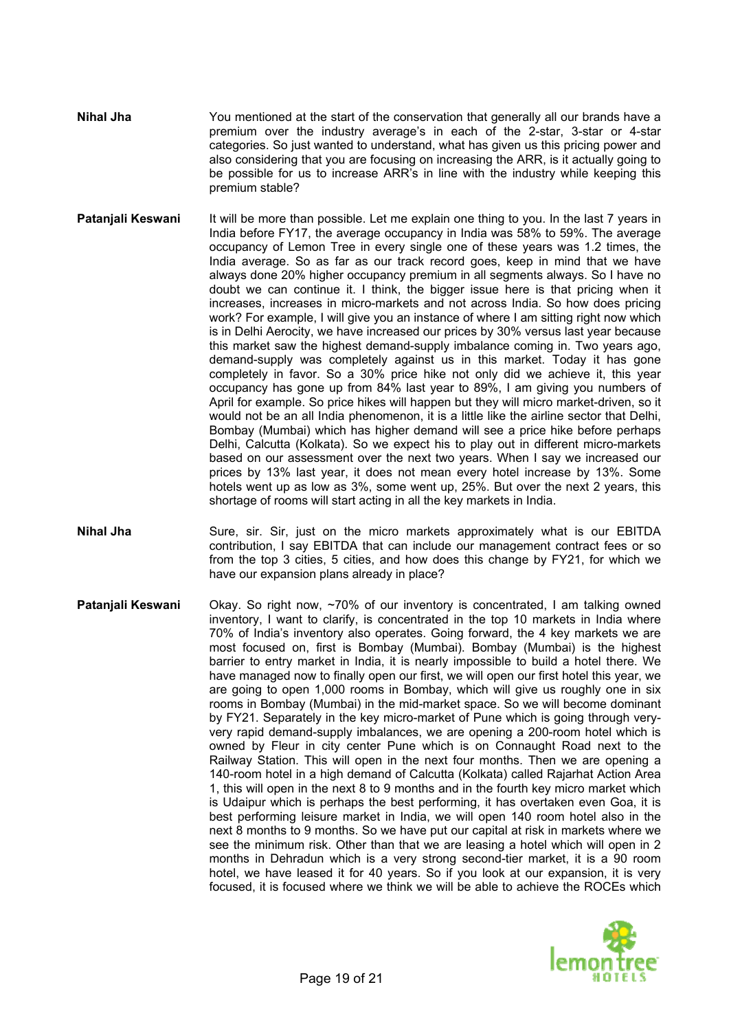- **Nihal Jha** You mentioned at the start of the conservation that generally all our brands have a premium over the industry average's in each of the 2-star, 3-star or 4-star categories. So just wanted to understand, what has given us this pricing power and also considering that you are focusing on increasing the ARR, is it actually going to be possible for us to increase ARR's in line with the industry while keeping this premium stable?
- **Patanjali Keswani** It will be more than possible. Let me explain one thing to you. In the last 7 years in India before FY17, the average occupancy in India was 58% to 59%. The average occupancy of Lemon Tree in every single one of these years was 1.2 times, the India average. So as far as our track record goes, keep in mind that we have always done 20% higher occupancy premium in all segments always. So I have no doubt we can continue it. I think, the bigger issue here is that pricing when it increases, increases in micro-markets and not across India. So how does pricing work? For example, I will give you an instance of where I am sitting right now which is in Delhi Aerocity, we have increased our prices by 30% versus last year because this market saw the highest demand-supply imbalance coming in. Two years ago, demand-supply was completely against us in this market. Today it has gone completely in favor. So a 30% price hike not only did we achieve it, this year occupancy has gone up from 84% last year to 89%, I am giving you numbers of April for example. So price hikes will happen but they will micro market-driven, so it would not be an all India phenomenon, it is a little like the airline sector that Delhi, Bombay (Mumbai) which has higher demand will see a price hike before perhaps Delhi, Calcutta (Kolkata). So we expect his to play out in different micro-markets based on our assessment over the next two years. When I say we increased our prices by 13% last year, it does not mean every hotel increase by 13%. Some hotels went up as low as 3%, some went up, 25%. But over the next 2 years, this shortage of rooms will start acting in all the key markets in India.
- **Nihal Jha** Sure, sir. Sir, just on the micro markets approximately what is our EBITDA contribution, I say EBITDA that can include our management contract fees or so from the top 3 cities, 5 cities, and how does this change by FY21, for which we have our expansion plans already in place?
- **Patanjali Keswani** Okay. So right now, ~70% of our inventory is concentrated, I am talking owned inventory, I want to clarify, is concentrated in the top 10 markets in India where 70% of India's inventory also operates. Going forward, the 4 key markets we are most focused on, first is Bombay (Mumbai). Bombay (Mumbai) is the highest barrier to entry market in India, it is nearly impossible to build a hotel there. We have managed now to finally open our first, we will open our first hotel this year, we are going to open 1,000 rooms in Bombay, which will give us roughly one in six rooms in Bombay (Mumbai) in the mid-market space. So we will become dominant by FY21. Separately in the key micro-market of Pune which is going through veryvery rapid demand-supply imbalances, we are opening a 200-room hotel which is owned by Fleur in city center Pune which is on Connaught Road next to the Railway Station. This will open in the next four months. Then we are opening a 140-room hotel in a high demand of Calcutta (Kolkata) called Rajarhat Action Area 1, this will open in the next 8 to 9 months and in the fourth key micro market which is Udaipur which is perhaps the best performing, it has overtaken even Goa, it is best performing leisure market in India, we will open 140 room hotel also in the next 8 months to 9 months. So we have put our capital at risk in markets where we see the minimum risk. Other than that we are leasing a hotel which will open in 2 months in Dehradun which is a very strong second-tier market, it is a 90 room hotel, we have leased it for 40 years. So if you look at our expansion, it is very focused, it is focused where we think we will be able to achieve the ROCEs which

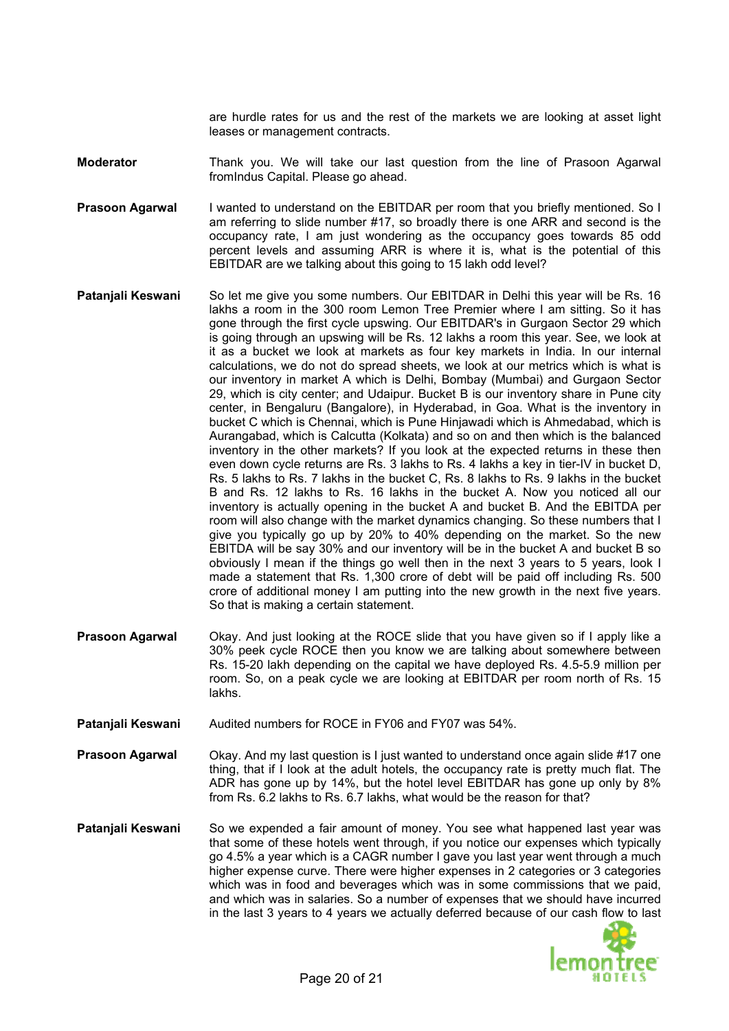are hurdle rates for us and the rest of the markets we are looking at asset light leases or management contracts.

- **Moderator** Thank you. We will take our last question from the line of Prasoon Agarwal fromIndus Capital. Please go ahead.
- **Prasoon Agarwal** am referring to slide number #17, so broadly there is one ARR and second is the occupancy rate, I am just wondering as the occupancy goes towards 85 odd I wanted to understand on the EBITDAR per room that you briefly mentioned. So I percent levels and assuming ARR is where it is, what is the potential of this EBITDAR are we talking about this going to 15 lakh odd level?
- **Patanjali Keswani** obviously I mean if the things go well then in the next 3 years to 5 years, look I made a statement that Rs. 1,300 crore of debt will be paid off including Rs. 500 So let me give you some numbers. Our EBITDAR in Delhi this year will be Rs. 16 lakhs a room in the 300 room Lemon Tree Premier where I am sitting. So it has gone through the first cycle upswing. Our EBITDAR's in Gurgaon Sector 29 which is going through an upswing will be Rs. 12 lakhs a room this year. See, we look at it as a bucket we look at markets as four key markets in India. In our internal calculations, we do not do spread sheets, we look at our metrics which is what is our inventory in market A which is Delhi, Bombay (Mumbai) and Gurgaon Sector 29, which is city center; and Udaipur. Bucket B is our inventory share in Pune city center, in Bengaluru (Bangalore), in Hyderabad, in Goa. What is the inventory in bucket C which is Chennai, which is Pune Hinjawadi which is Ahmedabad, which is Aurangabad, which is Calcutta (Kolkata) and so on and then which is the balanced inventory in the other markets? If you look at the expected returns in these then even down cycle returns are Rs. 3 lakhs to Rs. 4 lakhs a key in tier-IV in bucket D, Rs. 5 lakhs to Rs. 7 lakhs in the bucket C, Rs. 8 lakhs to Rs. 9 lakhs in the bucket B and Rs. 12 lakhs to Rs. 16 lakhs in the bucket A. Now you noticed all our inventory is actually opening in the bucket A and bucket B. And the EBITDA per room will also change with the market dynamics changing. So these numbers that I give you typically go up by 20% to 40% depending on the market. So the new EBITDA will be say 30% and our inventory will be in the bucket A and bucket B so crore of additional money I am putting into the new growth in the next five years. So that is making a certain statement.
- **Prasoon Agarwal** 30% peek cycle ROCE then you know we are talking about somewhere between Rs. 15-20 lakh depending on the capital we have deployed Rs. 4.5-5.9 million per room. So, on a peak cycle we are looking at EBITDAR per room north of Rs. 15 lakhs. Okay. And just looking at the ROCE slide that you have given so if I apply like a
- **Patanjali Keswani** Audited numbers for ROCE in FY06 and FY07 was 54%.
- **Prasoon Agarwal** Ckay. And my last question is I just wanted to understand once again slide #17 one thing, that if I look at the adult hotels, the occupancy rate is pretty much flat. The ADR has gone up by 14%, but the hotel level EBITDAR has gone up only by 8% from Rs. 6.2 lakhs to Rs. 6.7 lakhs, what would be the reason for that?
- **Patanjali Keswani** and which was in salaries. So a number of expenses that we should have incurred in the last 3 years to 4 years we actually deferred because of our cash flow to last So we expended a fair amount of money. You see what happened last year was that some of these hotels went through, if you notice our expenses which typically go 4.5% a year which is a CAGR number I gave you last year went through a much higher expense curve. There were higher expenses in 2 categories or 3 categories which was in food and beverages which was in some commissions that we paid,